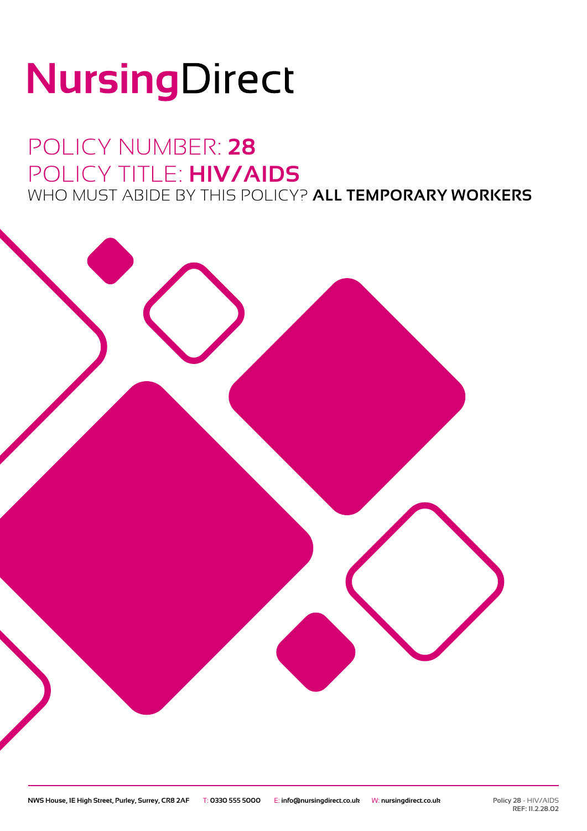# NursingDirect

### POLICY NUMBER: **28** POLICY TITLE: **HIV/AIDS** WHO MUST ABIDE BY THIS POLICY? **ALL TEMPORARY WORKERS**